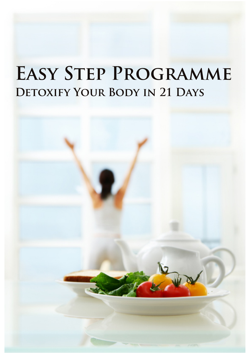# **Easy Step Programme Detoxify Your Body in 21 Days**

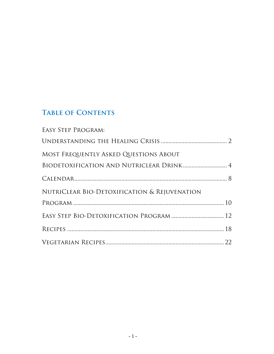### **Table of Contents**

| <b>EASY STEP PROGRAM:</b>                    |  |
|----------------------------------------------|--|
|                                              |  |
| MOST FREQUENTLY ASKED QUESTIONS ABOUT        |  |
|                                              |  |
|                                              |  |
| NUTRICLEAR BIO-DETOXIFICATION & REJUVENATION |  |
|                                              |  |
|                                              |  |
|                                              |  |
|                                              |  |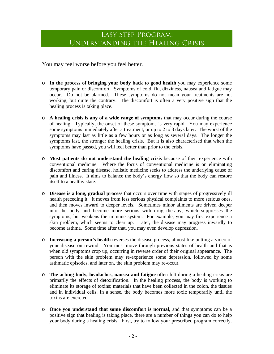### Easy Step Program: Understanding the Healing Crisis

You may feel worse before you feel better.

- o **In the process of bringing your body back to good health** you may experience some temporary pain or discomfort. Symptoms of cold, flu, dizziness, nausea and fatigue may occur. Do not be alarmed. These symptoms do not mean your treatments are not working, but quite the contrary. The discomfort is often a very positive sign that the healing process is taking place.
- o **A healing crisis is any of a wide range of symptoms** that may occur during the course of healing. Typically, the onset of these symptoms is very rapid. You may experience some symptoms immediately after a treatment, or up to 2 to 3 days later. The worst of the symptoms may last as little as a few hours or as long as several days. The longer the symptoms last, the stronger the healing crisis. But it is also characterised that when the symptoms have passed, you will feel better than prior to the crisis.
- o **Most patients do not understand the healing crisis** because of their experience with conventional medicine. Where the focus of conventional medicine is on eliminating discomfort and curing disease, holistic medicine seeks to address the underlying cause of pain and illness. It aims to balance the body's energy flow so that the body can restore itself to a healthy state.
- o **Disease is a long, gradual process** that occurs over time with stages of progressively ill health preceding it. It moves from less serious physical complaints to more serious ones, and then moves inward to deeper levels. Sometimes minor ailments are driven deeper into the body and become more serious with drug therapy, which suppresses the symptoms, but weakens the immune system. For example, you may first experience a skin problem, which seems to clear up. Later, the disease may progress inwardly to become asthma. Some time after that, you may even develop depression.
- o **Increasing a person's health** reverses the disease process, almost like putting a video of your disease on rewind. You must move through previous states of health and that is when old symptoms crop up, occurring in reverse order of their original appearance. The person with the skin problem may re-experience some depression, followed by some asthmatic episodes, and later on, the skin problem may re-occur.
- o **The aching body, headaches, nausea and fatigue** often felt during a healing crisis are primarily the effects of detoxification. In the healing process, the body is working to eliminate its storage of toxins; materials that have been collected in the colon, the tissues and in individual cells. In a sense, the body becomes more toxic temporarily until the toxins are excreted.
- o **Once you understand that some discomfort is normal**, and that symptoms can be a positive sign that healing is taking place, there are a number of things you can do to help your body during a healing crisis. First, try to follow your prescribed program correctly.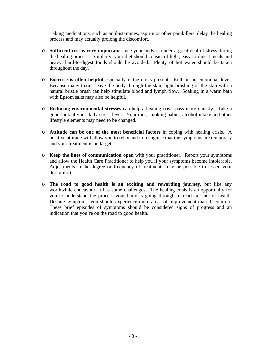Taking medications, such as antihistamines, aspirin or other painkillers, delay the healing process and may actually prolong the discomfort.

- o **Sufficient rest is very important** since your body is under a great deal of stress during the healing process. Similarly, your diet should consist of light, easy-to-digest meals and heavy, hard-to-digest foods should be avoided. Plenty of hot water should be taken throughout the day.
- o **Exercise is often helpful** especially if the crisis presents itself on an emotional level. Because many toxins leave the body through the skin, light brushing of the skin with a natural bristle brush can help stimulate blood and lymph flow. Soaking in a warm bath with Epsom salts may also be helpful.
- o **Reducing environmental stresses** can help a healing crisis pass more quickly. Take a good look at your daily stress level. Your diet, smoking habits, alcohol intake and other lifestyle elements may need to be changed.
- o **Attitude can be one of the most beneficial factors** in coping with healing crisis. A positive attitude will allow you to relax and to recognise that the symptoms are temporary and your treatment is on target.
- o **Keep the lines of communication open** with your practitioner. Report your symptoms and allow the Health Care Practitioner to help you if your symptoms become intolerable. Adjustments in the degree or frequency of treatments may be possible to lessen your discomfort.
- o **The road to good health is an exciting and rewarding journey**, but like any worthwhile endeavour, it has some challenges. The healing crisis is an opportunity for you to understand the process your body is going through to reach a state of health. Despite symptoms, you should experience more areas of improvement than discomfort. These brief episodes of symptoms should be considered signs of progress and an indication that you're on the road to good health.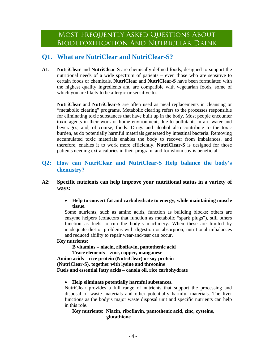#### **Q1. What are NutriClear and NutriClear-S?**

**A1: NutriClear** and **NutriClear-S** are chemically defined foods, designed to support the nutritional needs of a wide spectrum of patients – even those who are sensitive to certain foods or chemicals. **NutriClear** and **NutriClear-S** have been formulated with the highest quality ingredients and are compatible with vegetarian foods, some of which you are likely to be allergic or sensitive to.

**NutriClear** and **NutriClear-S** are often used as meal replacements in cleansing or "metabolic clearing" programs. Metabolic clearing refers to the processes responsible for eliminating toxic substances that have built up in the body. Most people encounter toxic agents in their work or home environment, due to pollutants in air, water and beverages, and, of course, foods. Drugs and alcohol also contribute to the toxic burden, as do potentially harmful materials generated by intestinal bacteria. Removing accumulated toxic materials enables the body to recover from imbalances, and therefore, enables it to work more efficiently. **NutriClear-S** is designed for those patients needing extra calories in their program, and for whom soy is beneficial.

#### **Q2: How can NutriClear and NutriClear-S Help balance the body's chemistry?**

#### **A2: Specific nutrients can help improve your nutritional status in a variety of ways:**

• **Help to convert fat and carbohydrate to energy, while maintaining muscle tissue.** 

Some nutrients, such as amino acids, function as building blocks; others are enzyme helpers (cofactors that function as metabolic "spark plugs"), still others function as fuels to run the body's machinery. When these are limited by inadequate diet or problems with digestion or absorption, nutritional imbalances and reduced ability to repair wear-and-tear can occur.

#### **Key nutrients:**

 **B vitamins – niacin, riboflavin, pantothenic acid Trace elements – zinc, copper, manganese Amino acids – rice protein (NutriClear) or soy protein (NutriClear-S), together with lysine and threonine Fuels and essential fatty acids – canola oil, rice carbohydrate** 

#### • **Help eliminate potentially harmful substances.**

NutriClear provides a full range of nutrients that support the processing and disposal of waste materials and other potentially harmful materials. The liver functions as the body's major waste disposal unit and specific nutrients can help in this role.

#### **Key nutrients: Niacin, riboflavin, pantothenic acid, zinc, cysteine, glutathione**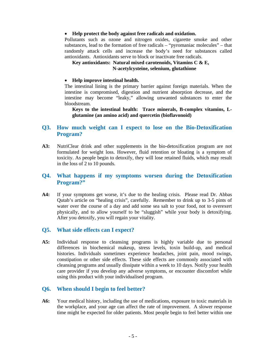#### • **Help protect the body against free radicals and oxidation.**

Pollutants such as ozone and nitrogen oxides, cigarette smoke and other substances, lead to the formation of free radicals – "pyromaniac molecules" – that randomly attack cells and increase the body's need for substances called antioxidants. Antioxidants serve to block or inactivate free radicals.

#### **Key antioxidants: Natural mixed carotenoids, Vitamins C & E, N-acetylcysteine, selenium, glutathione**

#### • **Help improve intestinal health.**

The intestinal lining is the primary barrier against foreign materials. When the intestine is compromised, digestion and nutrient absorption decrease, and the intestine may become "leaky," allowing unwanted substances to enter the bloodstream.

**Keys to the intestinal health: Trace minerals, B-complex vitamins, Lglutamine (an amino acid) and quercetin (bioflavonoid)** 

#### **Q3. How much weight can I expect to lose on the Bio-Detoxification Program?**

**A3:** NutriClear drink and other supplements in the bio-detoxification program are not formulated for weight loss. However, fluid retention or bloating is a symptom of toxicity. As people begin to detoxify, they will lose retained fluids, which may result in the loss of 2 to 10 pounds.

#### **Q4. What happens if my symptoms worsen during the Detoxification Program?"**

**A4:** If your symptoms get worse, it's due to the healing crisis. Please read Dr. Abbas Qutab's article on "healing crisis", carefully. Remember to drink up to 3-5 pints of water over the course of a day and add some sea salt to your food, not to overexert physically, and to allow yourself to be "sluggish" while your body is detoxifying. After you detoxify, you will regain your vitality.

#### **Q5. What side effects can I expect?**

**A5:** Individual response to cleansing programs is highly variable due to personal differences in biochemical makeup, stress levels, toxin build-up, and medical histories. Individuals sometimes experience headaches, joint pain, mood swings, constipation or other side effects. These side effects are commonly associated with cleansing programs and usually dissipate within a week to 10 days. Notify your health care provider if you develop any adverse symptoms, or encounter discomfort while using this product with your individualised program.

#### **Q6. When should I begin to feel better?**

**A6:** Your medical history, including the use of medications, exposure to toxic materials in the workplace, and your age can affect the rate of improvement. A slower response time might be expected for older patients. Most people begin to feel better within one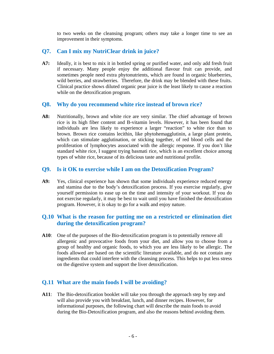to two weeks on the cleansing program; others may take a longer time to see an improvement in their symptoms.

#### **Q7. Can I mix my NutriClear drink in juice?**

**A7:** Ideally, it is best to mix it in bottled spring or purified water, and only add fresh fruit if necessary. Many people enjoy the additional flavour fruit can provide, and sometimes people need extra phytonutrients, which are found in organic blueberries, wild berries, and strawberries. Therefore, the drink may be blended with these fruits. Clinical practice shows diluted organic pear juice is the least likely to cause a reaction while on the detoxification program.

#### **Q8. Why do you recommend white rice instead of brown rice?**

**A8:** Nutritionally, brown and white rice are very similar. The chief advantage of brown rice is its high fiber content and B-vitamin levels. However, it has been found that individuals are less likely to experience a larger "reaction" to white rice than to brown. Brown rice contains lecithin, like phytohemagglutinin, a large plant protein, which can stimulate agglutination, or sticking together, of red blood cells and the proliferation of lymphocytes associated with the allergic response. If you don't like standard white rice, I suggest trying basmati rice, which is an excellent choice among types of white rice, because of its delicious taste and nutritional profile.

#### **Q9. Is it OK to exercise while I am on the Detoxification Program?**

**A9:** Yes, clinical experience has shown that some individuals experience reduced energy and stamina due to the body's detoxification process. If you exercise regularly, give yourself permission to ease up on the time and intensity of your workout. If you do not exercise regularly, it may be best to wait until you have finished the detoxification program. However, it is okay to go for a walk and enjoy nature.

#### **Q.10 What is the reason for putting me on a restricted or elimination diet during the detoxification program?**

**A10**: One of the purposes of the Bio-detoxification program is to potentially remove all allergenic and provocative foods from your diet, and allow you to choose from a group of healthy and organic foods, to which you are less likely to be allergic. The foods allowed are based on the scientific literature available, and do not contain any ingredients that could interfere with the cleansing process. This helps to put less stress on the digestive system and support the liver detoxification.

#### **Q.11 What are the main foods I will be avoiding?**

**A11**: The Bio-detoxification booklet will take you through the approach step by step and will also provide you with breakfast, lunch, and dinner recipes. However, for informational purposes, the following chart will describe the main foods to avoid during the Bio-Detoxification program, and also the reasons behind avoiding them.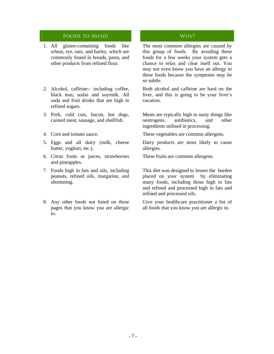#### FOODS TO AVOID CONSERVERSE WHY?

- 1. All gluten-containing foods like wheat, rye, oats, and barley, which are commonly found in breads, pasta, and other products from refined flour.
- 2. Alcohol, caffeine:- including coffee, black teas, sodas and soymilk. All soda and fruit drinks that are high in refined sugars.
- 3. Pork, cold cuts, bacon, hot dogs, canned meat, sausage, and shellfish.
- 
- 5. Eggs and all dairy (milk, cheese butter, yoghurt, etc.).
- 6. Citrus fruits or juices, strawberries and pineapples.
- 7. Foods high in fats and oils, including peanuts, refined oils, margarine, and shortening.
- 8. Any other foods not listed on these pages that you know you are allergic to.

 The most common allergies are caused by this group of foods. By avoiding these foods for a few weeks your system gets a chance to relax and clear itself out. You may not even know you have an allergy to these foods because the symptoms may be so subtle.

 Both alcohol and caffeine are hard on the liver, and this is going to be your liver's vacation.

 Meats are typically high in nasty things like oestrogens, antibiotics, and other ingredients utilised in processing.

4. Corn and tomato sauce. These vegetables are common allergens.

 Dairy products are most likely to cause allergies.

These fruits are common allergens.

 This diet was designed to lessen the burden placed on your system by eliminating many foods, including those high in fats and refined and processed high in fats and refined and processed oils.

 Give your healthcare practitioner a list of all foods that you know you are allergic to.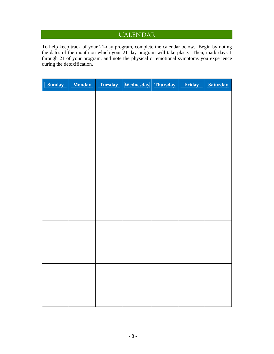### **CALENDAR**

To help keep track of your 21-day program, complete the calendar below. Begin by noting the dates of the month on which your 21-day program will take place. Then, mark days 1 through 21 of your program, and note the physical or emotional symptoms you experience during the detoxification.

| <b>Sunday</b> | <b>Monday</b> | <b>Tuesday</b> | Wednesday | Thursday | Friday | <b>Saturday</b> |
|---------------|---------------|----------------|-----------|----------|--------|-----------------|
|               |               |                |           |          |        |                 |
|               |               |                |           |          |        |                 |
|               |               |                |           |          |        |                 |
|               |               |                |           |          |        |                 |
|               |               |                |           |          |        |                 |
|               |               |                |           |          |        |                 |
|               |               |                |           |          |        |                 |
|               |               |                |           |          |        |                 |
|               |               |                |           |          |        |                 |
|               |               |                |           |          |        |                 |
|               |               |                |           |          |        |                 |
|               |               |                |           |          |        |                 |
|               |               |                |           |          |        |                 |
|               |               |                |           |          |        |                 |
|               |               |                |           |          |        |                 |
|               |               |                |           |          |        |                 |
|               |               |                |           |          |        |                 |
|               |               |                |           |          |        |                 |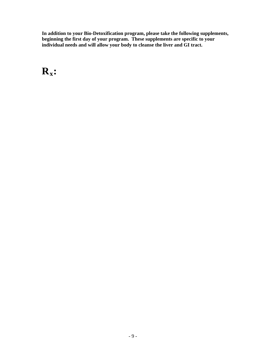**In addition to your Bio-Detoxification program, please take the following supplements,**  beginning the first day of your program. These supplements are specific to your **individual needs and will allow your body to cleanse the liver and GI tract.** 

## $R_x$ :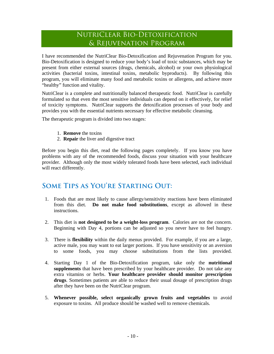### NUTRICLEAR BIO-DETOXIFICATION & Rejuvenation Program

I have recommended the NutriClear Bio-Detoxification and Rejuvenation Program for you. Bio-Detoxification is designed to reduce your body's load of toxic substances, which may be present from either external sources (drugs, chemicals, alcohol) or your own physiological activities (bacterial toxins, intestinal toxins, metabolic byproducts). By following this program, you will eliminate many food and metabolic toxins or allergens, and achieve more "healthy" function and vitality.

NutriClear is a complete and nutritionally balanced therapeutic food. NutriClear is carefully formulated so that even the most sensitive individuals can depend on it effectively, for relief of toxicity symptoms. NutriClear supports the detoxification processes of your body and provides you with the essential nutrients necessary for effective metabolic cleansing.

The therapeutic program is divided into two stages:

- 1. **Remove** the toxins
- 2. **Repair** the liver and digestive tract

Before you begin this diet, read the following pages completely. If you know you have problems with any of the recommended foods, discuss your situation with your healthcare provider. Although only the most widely tolerated foods have been selected, each individual will react differently.

### **Some Tips as You're Starting Out:**

- 1. Foods that are most likely to cause allergy/sensitivity reactions have been eliminated from this diet. **Do not make food substitutions**, except as allowed in these instructions.
- 2. This diet is **not designed to be a weight-loss program**. Calories are not the concern. Beginning with Day 4, portions can be adjusted so you never have to feel hungry.
- 3. There is **flexibility** within the daily menus provided. For example, if you are a large, active male, you may want to eat larger portions. If you have sensitivity or an aversion to some foods, you may choose substitutions from the lists provided.
- 4. Starting Day 1 of the Bio-Detoxification program, take only the **nutritional supplements** that have been prescribed by your healthcare provider. Do not take any extra vitamins or herbs. **Your healthcare provider should monitor prescription drugs**. Sometimes patients are able to reduce their usual dosage of prescription drugs after they have been on the NutriClear program.
- 5. **Whenever possible, select organically grown fruits and vegetables** to avoid exposure to toxins. All produce should be washed well to remove chemicals.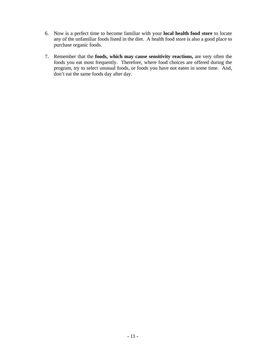- 6. Now is a perfect time to become familiar with your **local health food store** to locate any of the unfamiliar foods listed in the diet. A health food store is also a good place to purchase organic foods.
- 7. Remember that the **foods, which may cause sensitivity reactions,** are very often the foods you eat most frequently. Therefore, where food choices are offered during the program, try to select unusual foods, or foods you have not eaten in some time. And, don't eat the same foods day after day.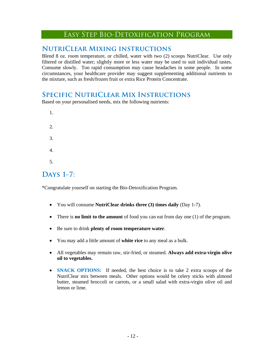#### Easy Step Bio-Detoxification Program

#### **NutriClear Mixing instructions**

Blend 8 oz. room temperature, or chilled, water with two (2) scoops NutriClear. Use only filtered or distilled water; slightly more or less water may be used to suit individual tastes. Consume slowly. Too rapid consumption may cause headaches in some people. In some circumstances, your healthcare provider may suggest supplementing additional nutrients to the mixture, such as fresh/frozen fruit or extra Rice Protein Concentrate.

#### **Specific NutriClear Mix Instructions**

Based on your personalised needs, mix the following nutrients:

1. 2. 3. 4. 5.

### **Days 1-7:**

\*Congratulate yourself on starting the Bio-Detoxification Program.

- You will consume **NutriClear drinks three (3) times daily** (Day 1-7).
- There is **no limit to the amount** of food you can eat from day one (1) of the program.
- Be sure to drink **plenty of room temperature water**.
- You may add a little amount of **white rice** to any meal as a bulk.
- All vegetables may remain raw, stir-fried, or steamed. **Always add extra-virgin olive oil to vegetables.**
- **SNACK OPTIONS:** If needed, the best choice is to take 2 extra scoops of the NutriClear mix between meals. Other options would be celery sticks with almond butter, steamed broccoli or carrots, or a small salad with extra-virgin olive oil and lemon or lime.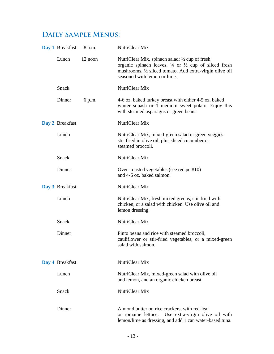### **Daily Sample Menus:**

| Day 1 Breakfast | 8 a.m.  | NutriClear Mix                                                                                                                                                                                                            |
|-----------------|---------|---------------------------------------------------------------------------------------------------------------------------------------------------------------------------------------------------------------------------|
| Lunch           | 12 noon | NutriClear Mix, spinach salad: 1/2 cup of fresh<br>organic spinach leaves, $\frac{1}{4}$ or $\frac{1}{2}$ cup of sliced fresh<br>mushrooms, 1/2 sliced tomato. Add extra-virgin olive oil<br>seasoned with lemon or lime. |
| Snack           |         | NutriClear Mix                                                                                                                                                                                                            |
| Dinner          | 6 p.m.  | 4-6 oz. baked turkey breast with either 4-5 oz. baked<br>winter squash or 1 medium sweet potato. Enjoy this<br>with steamed asparagus or green beans.                                                                     |
| Day 2 Breakfast |         | NutriClear Mix                                                                                                                                                                                                            |
| Lunch           |         | NutriClear Mix, mixed-green salad or green veggies<br>stir-fried in olive oil, plus sliced cucumber or<br>steamed broccoli.                                                                                               |
| Snack           |         | NutriClear Mix                                                                                                                                                                                                            |
| Dinner          |         | Oven-roasted vegetables (see recipe #10)<br>and 4-6 oz. baked salmon.                                                                                                                                                     |
| Day 3 Breakfast |         | NutriClear Mix                                                                                                                                                                                                            |
| Lunch           |         | NutriClear Mix, fresh mixed greens, stir-fried with<br>chicken, or a salad with chicken. Use olive oil and<br>lemon dressing.                                                                                             |
| <b>Snack</b>    |         | NutriClear Mix                                                                                                                                                                                                            |
| Dinner          |         | Pinto beans and rice with steamed broccoli,<br>cauliflower or stir-fried vegetables, or a mixed-green<br>salad with salmon.                                                                                               |
| Day 4 Breakfast |         | NutriClear Mix                                                                                                                                                                                                            |
| Lunch           |         | NutriClear Mix, mixed-green salad with olive oil<br>and lemon, and an organic chicken breast.                                                                                                                             |
| Snack           |         | NutriClear Mix                                                                                                                                                                                                            |
| Dinner          |         | Almond butter on rice crackers, with red-leaf<br>or romaine lettuce. Use extra-virgin olive oil with<br>lemon/lime as dressing, and add 1 can water-based tuna.                                                           |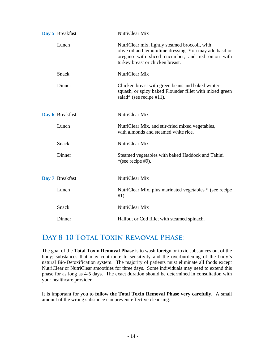| Day 5 Breakfast | NutriClear Mix                                                                                                                                                                                    |
|-----------------|---------------------------------------------------------------------------------------------------------------------------------------------------------------------------------------------------|
| Lunch           | NutriClear mix, lightly steamed broccoli, with<br>olive oil and lemon/lime dressing. You may add basil or<br>oregano with sliced cucumber, and red onion with<br>turkey breast or chicken breast. |
| Snack           | NutriClear Mix                                                                                                                                                                                    |
| Dinner          | Chicken breast with green beans and baked winter<br>squash, or spicy baked Flounder fillet with mixed green<br>salad* (see recipe $#11$ ).                                                        |
| Day 6 Breakfast | NutriClear Mix                                                                                                                                                                                    |
| Lunch           | NutriClear Mix, and stir-fried mixed vegetables,<br>with almonds and steamed white rice.                                                                                                          |
| <b>Snack</b>    | NutriClear Mix                                                                                                                                                                                    |
| Dinner          | Steamed vegetables with baked Haddock and Tahini<br>*(see recipe #9).                                                                                                                             |
| Day 7 Breakfast | NutriClear Mix                                                                                                                                                                                    |
| Lunch           | NutriClear Mix, plus marinated vegetables * (see recipe<br>$#1$ ).                                                                                                                                |
| Snack           | NutriClear Mix                                                                                                                                                                                    |
| Dinner          | Halibut or Cod fillet with steamed spinach.                                                                                                                                                       |

### DAY 8-10 TOTAL TOXIN REMOVAL PHASE:

The goal of the **Total Toxin Removal Phase** is to wash foreign or toxic substances out of the body; substances that may contribute to sensitivity and the overburdening of the body's natural Bio-Detoxification system. The majority of patients must eliminate all foods except NutriClear or NutriClear smoothies for three days. Some individuals may need to extend this phase for as long as 4-5 days. The exact duration should be determined in consultation with your healthcare provider.

It is important for you to **follow the Total Toxin Removal Phase very carefully**. A small amount of the wrong substance can prevent effective cleansing.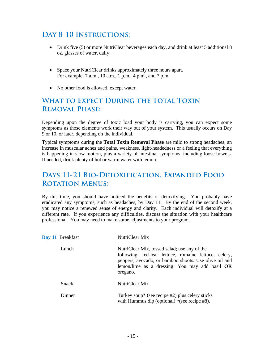### **Day 8-10 Instructions:**

- Drink five (5) or more NutriClear beverages each day, and drink at least 5 additional 8 oz. glasses of water, daily.
- Space your NutriClear drinks approximately three hours apart. For example: 7 a.m., 10 a.m., 1 p.m., 4 p.m., and 7 p.m.
- No other food is allowed, except water.

### **What to Expect During the Total Toxin Removal Phase:**

Depending upon the degree of toxic load your body is carrying, you can expect some symptoms as those elements work their way out of your system. This usually occurs on Day 9 or 10, or later, depending on the individual.

Typical symptoms during the **Total Toxin Removal Phase** are mild to strong headaches, an increase in muscular aches and pains, weakness, light-headedness or a feeling that everything is happening in slow motion, plus a variety of intestinal symptoms, including loose bowels. If needed, drink plenty of hot or warm water with lemon.

### **Days 11-21 Bio-Detoxification, Expanded Food ROTATION MENUS:**

By this time, you should have noticed the benefits of detoxifying. You probably have eradicated any symptoms, such as headaches, by Day 11. By the end of the second week, you may notice a renewed sense of energy and clarity. Each individual will detoxify at a different rate. If you experience any difficulties, discuss the situation with your healthcare professional. You may need to make some adjustments to your program.

| Day 11 Breakfast | NutriClear Mix                                                                                                                                                                                                                 |
|------------------|--------------------------------------------------------------------------------------------------------------------------------------------------------------------------------------------------------------------------------|
| Lunch            | NutriClear Mix, tossed salad; use any of the<br>following: red-leaf lettuce, romaine lettuce, celery,<br>peppers, avocado, or bamboo shoots. Use olive oil and<br>lemon/lime as a dressing. You may add basil $OR$<br>oregano. |
| <b>Snack</b>     | NutriClear Mix                                                                                                                                                                                                                 |
| Dinner           | Turkey soup* (see recipe $#2$ ) plus celery sticks<br>with Hummus dip (optional) $*(see recipe #8)$ .                                                                                                                          |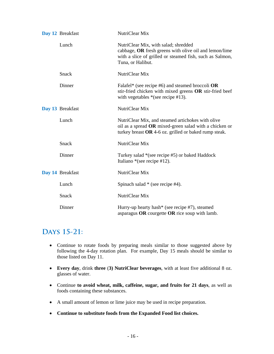| Day 12 Breakfast | NutriClear Mix                                                                                                                                                                  |
|------------------|---------------------------------------------------------------------------------------------------------------------------------------------------------------------------------|
| Lunch            | NutriClear Mix, with salad; shredded<br>cabbage, OR fresh greens with olive oil and lemon/lime<br>with a slice of grilled or steamed fish, such as Salmon,<br>Tuna, or Halibut. |
| <b>Snack</b>     | NutriClear Mix                                                                                                                                                                  |
| Dinner           | Falafel* (see recipe #6) and steamed broccoli $OR$<br>stir-fried chicken with mixed greens OR stir-fried beef<br>with vegetables $*(see recipe #13).$                           |
| Day 13 Breakfast | NutriClear Mix                                                                                                                                                                  |
| Lunch            | NutriClear Mix, and steamed artichokes with olive<br>oil as a spread OR mixed-green salad with a chicken or<br>turkey breast $OR$ 4-6 oz. grilled or baked rump steak.          |
| <b>Snack</b>     | NutriClear Mix                                                                                                                                                                  |
| Dinner           | Turkey salad *(see recipe #5) or baked Haddock<br>Italiano *(see recipe #12).                                                                                                   |
| Day 14 Breakfast | NutriClear Mix                                                                                                                                                                  |
| Lunch            | Spinach salad * (see recipe #4).                                                                                                                                                |
| <b>Snack</b>     | NutriClear Mix                                                                                                                                                                  |
| Dinner           | Hurry-up hearty hash* (see recipe #7), steamed<br>asparagus OR courgette OR rice soup with lamb.                                                                                |

### **Days 15-21:**

- Continue to rotate foods by preparing meals similar to those suggested above by following the 4-day rotation plan. For example, Day 15 meals should be similar to those listed on Day 11.
- **Every day**, drink **three** (**3) NutriClear beverages**, with at least five additional 8 oz. glasses of water.
- Continue **to avoid wheat, milk, caffeine, sugar, and fruits for 21 days**, as well as foods containing these substances.
- A small amount of lemon or lime juice may be used in recipe preparation.
- **Continue to substitute foods from the Expanded Food list choices.**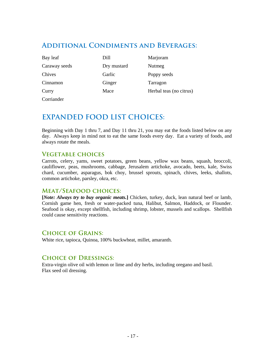#### **Additional Condiments and Beverages:**

| Bay leaf      | Dill        | Marjoram                |
|---------------|-------------|-------------------------|
| Caraway seeds | Dry mustard | Nutmeg                  |
| Chives        | Garlic      | Poppy seeds             |
| Cinnamon      | Ginger      | Tarragon                |
| Curry         | Mace        | Herbal teas (no citrus) |
| Corriander    |             |                         |

### **EXPANDED FOOD LIST CHOICES:**

Beginning with Day 1 thru 7, and Day 11 thru 21, you may eat the foods listed below on any day. Always keep in mind not to eat the same foods every day. Eat a variety of foods, and always rotate the meals.

#### **Vegetable choices**

Carrots, celery, yams, sweet potatoes, green beans, yellow wax beans, squash, broccoli, cauliflower, peas, mushrooms, cabbage, Jerusalem artichoke, avocado, beets, kale, Swiss chard, cucumber, asparagus, bok choy, brussel sprouts, spinach, chives, leeks, shallots, common artichoke, parsley, okra, etc.

#### **Meat/Seafood choices:**

**[***Note: Always try to buy organic meats.***]** Chicken, turkey, duck, lean natural beef or lamb, Cornish game hen, fresh or water-packed tuna, Halibut, Salmon, Haddock, or Flounder. Seafood is okay, except shellfish, including shrimp, lobster, mussels and scallops. Shellfish could cause sensitivity reactions.

#### **Choice of Grains:**

White rice, tapioca, Quinoa, 100% buckwheat, millet, amaranth.

#### **Choice of Dressings:**

Extra-virgin olive oil with lemon or lime and dry herbs, including oregano and basil. Flax seed oil dressing.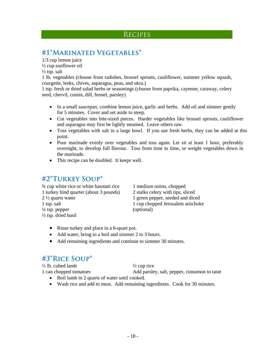#### **RECIPES**

### **#1\*Marinated Vegetables\***

1/3 cup lemon juice  $\frac{1}{2}$  cup sunflower oil  $\frac{1}{2}$  tsp. salt

1 lb. vegetables (choose from radishes, brussel sprouts, cauliflower, summer yellow squash, courgette, leeks, chives, asparagus, peas, and okra.)

1 tsp. fresh or dried salad herbs or seasonings (choose from paprika, cayenne, caraway, celery seed, chervil, cumin, dill, fennel, parsley)

- In a small saucepan, combine lemon juice, garlic and herbs. Add oil and simmer gently for 5 minutes. Cover and set aside to steep.
- Cut vegetables into bite-sized pieces. Harder vegetables like brussel sprouts, cauliflower and asparagus may first be lightly steamed. Leave others raw.
- Toss vegetables with salt in a large bowl. If you use fresh herbs, they can be added at this point.
- Pour marinade evenly over vegetables and toss again. Let sit at least 1 hour, preferably overnight, to develop full flavour. Toss from time to time, or weight vegetables down in the marinade.
- This recipe can be doubled. It keeps well.

### **#2\*Turkey Soup\***

<sup>3/4</sup> cup white rice or white basmati rice 1 medium onion, chopped 1 turkey hind quarter (about 3 pounds) 2 stalks celery with tips, sliced 2 ½ quarts water 1 green pepper, seeded and diced 1 tsp. salt 1 cup chopped Jerusalem artichoke  $\frac{1}{4}$  tsp. pepper (optional) ½ tsp. dried basil

- Rinse turkey and place in a 6-quart pot.
- Add water, bring to a boil and simmer 2 to 3 hours.
- Add remaining ingredients and continue to simmer 30 minutes.

#### **#3\*Rice Soup\***

 $\frac{1}{2}$  lb. cubed lamb  $\frac{1}{2}$  cup rice

1 can chopped tomatoes Add parsley, salt, pepper, cinnamon to taste

- Boil lamb in 2 quarts of water until cooked.
- Wash rice and add to meat. Add remaining ingredients. Cook for 30 minutes.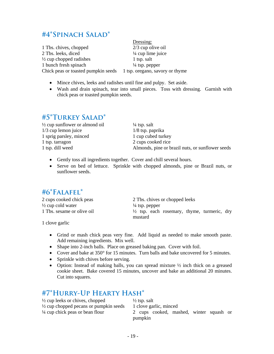### **#4\*Spinach Salad\***

1 Tbs. chives, chopped 2/3 cup olive oil 2 Tbs. leeks, diced <sup>1/4</sup> cup lime juice  $\frac{1}{2}$  cup chopped radishes 1 tsp. salt 1 bunch fresh spinach  $\frac{1}{4}$  tsp. pepper Chick peas or toasted pumpkin seeds 1 tsp. oregano, savory or thyme

Dressing:

- Mince chives, leeks and radishes until fine and pulpy. Set aside.
- Wash and drain spinach, tear into small pieces. Toss with dressing. Garnish with chick peas or toasted pumpkin seeds.

#### **#5\*Turkey Salad\***

| $\frac{1}{2}$ cup sunflower or almond oil | $\frac{1}{4}$ tsp. salt                          |
|-------------------------------------------|--------------------------------------------------|
| $1/3$ cup lemon juice                     | $1/8$ tsp. paprika                               |
| 1 sprig parsley, minced                   | 1 cup cubed turkey                               |
| 1 tsp. tarragon                           | 2 cups cooked rice                               |
| 1 tsp. dill weed                          | Almonds, pine or brazil nuts, or sunflower seeds |

- Gently toss all ingredients together. Cover and chill several hours.
- Serve on bed of lettuce. Sprinkle with chopped almonds, pine or Brazil nuts, or sunflower seeds.

#### **#6\*Falafel\***

 $\frac{1}{2}$  cup cold water  $\frac{1}{4}$  tsp. pepper

2 cups cooked chick peas 2 Tbs. chives or chopped leeks 1 Tbs. sesame or olive oil  $\frac{1}{2}$  tsp. each rosemary, thyme, turmeric, dry mustard

1 clove garlic

- Grind or mash chick peas very fine. Add liquid as needed to make smooth paste. Add remaining ingredients. Mix well.
- Shape into 2-inch balls. Place on greased baking pan. Cover with foil.
- Cover and bake at 350° for 15 minutes. Turn balls and bake uncovered for 5 minutes.
- Sprinkle with chives before serving.
- Option: Instead of making balls, you can spread mixture  $\frac{1}{2}$  inch thick on a greased cookie sheet. Bake covered 15 minutes, uncover and bake an additional 20 minutes. Cut into squares.

### **#7\*Hurry-Up Hearty Hash\***

 $\frac{1}{2}$  cup leeks or chives, chopped  $\frac{1}{2}$  tsp. salt  $\frac{1}{2}$  cup chopped pecans or pumpkin seeds 1 clove garlic, minced <sup>1</sup>/4 cup chick peas or bean flour 2 cups cooked, mashed, winter squash or pumpkin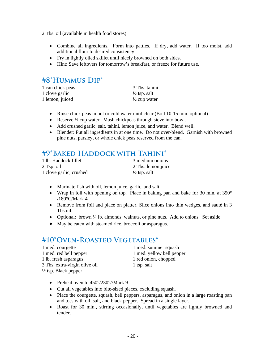2 Tbs. oil (available in health food stores)

- Combine all ingredients. Form into patties. If dry, add water. If too moist, add additional flour to desired consistency.
- Fry in lightly oiled skillet until nicely browned on both sides.
- Hint: Save leftovers for tomorrow's breakfast, or freeze for future use.

### **#8\*Hummus Dip\***

| 1 can chick peas | 3 Tbs. tahini           |
|------------------|-------------------------|
| 1 clove garlic   | $\frac{1}{2}$ tsp. salt |
| 1 lemon, juiced  | $\frac{1}{2}$ cup water |

- Rinse chick peas in hot or cold water until clear (Boil 10-15 min. optional)
- Reserve  $\frac{1}{2}$  cup water. Mash chickpeas through sieve into bowl.
- Add crushed garlic, salt, tahini, lemon juice, and water. Blend well.
- Blender: Put all ingredients in at one time. Do not over-blend. Garnish with browned pine nuts, parsley, or whole chick peas reserved from the can.

#### **#9\*Baked Haddock with Tahini\***

| 1 lb. Haddock fillet    | 3 medium onions         |
|-------------------------|-------------------------|
| 2 Tsp. oil              | 2 Tbs. lemon juice      |
| 1 clove garlic, crushed | $\frac{1}{2}$ tsp. salt |

- Marinate fish with oil, lemon juice, garlic, and salt.
- Wrap in foil with opening on top. Place in baking pan and bake for 30 min. at 350° /180°C/Mark 4
- Remove from foil and place on platter. Slice onions into thin wedges, and sauté in 3 Tbs.oil.
- Optional: brown  $\frac{1}{4}$  lb. almonds, walnuts, or pine nuts. Add to onions. Set aside.
- May be eaten with steamed rice, broccoli or asparagus.

### **#10\*Oven-Roasted Vegetables\***

| 1 med. courgette                | 1 med. summer squash      |
|---------------------------------|---------------------------|
| 1 med. red bell pepper          | 1 med. yellow bell pepper |
| 1 lb. fresh asparagus           | 1 red onion, chopped      |
| 3 Tbs. extra-virgin olive oil   | 1 tsp. salt               |
| $\frac{1}{2}$ tsp. Black pepper |                           |

- Preheat oven to 450°/230°//Mark 9
- Cut all vegetables into bite-sized pieces, excluding squash.
- Place the courgette, squash, bell peppers, asparagus, and onion in a large roasting pan and toss with oil, salt, and black pepper. Spread in a single layer.
- Roast for 30 min., stirring occasionally, until vegetables are lightly browned and tender.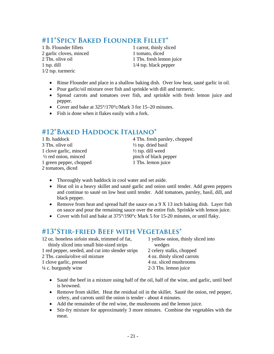### **#11\*Spicy Baked Flounder Fillet\***

1 lb. Flounder fillets 1 carrot, thinly sliced 2 garlic cloves, minced 1 tomato, diced 1 tsp. dill 1/4 tsp. black pepper 1/2 tsp. turmeric

2 Tbs. olive oil 1 Tbs. fresh lemon juice

- Rinse Flounder and place in a shallow baking dish. Over low heat, sauté garlic in oil.
- Pour garlic/oil mixture over fish and sprinkle with dill and turmeric.
- Spread carrots and tomatoes over fish, and sprinkle with fresh lemon juice and pepper.
- Cover and bake at 325°/170°c/Mark 3 for 15–20 minutes.
- Fish is done when it flakes easily with a fork.

### **#12\*Baked Haddock Italiano\***

| 1 lb. haddock                   | 4 Tbs. fresh parsley, chopped  |
|---------------------------------|--------------------------------|
| 3 Tbs. olive oil                | $\frac{1}{2}$ tsp. dried basil |
| 1 clove garlic, minced          | $\frac{1}{2}$ tsp. dill weed   |
| $\frac{1}{2}$ red onion, minced | pinch of black pepper          |
| 1 green pepper, chopped         | 1 Tbs. lemon juice             |
| 2 tomatoes, diced               |                                |

- Thoroughly wash haddock in cool water and set aside.
- Heat oil in a heavy skillet and sauté garlic and onion until tender. Add green peppers and continue to sauté on low heat until tender. Add tomatoes, parsley, basil, dill, and black pepper.
- Remove from heat and spread half the sauce on a 9 X 13 inch baking dish. Layer fish on sauce and pour the remaining sauce over the entire fish. Sprinkle with lemon juice.
- Cover with foil and bake at 375°/190°c Mark 5 for 15-20 minutes, or until flaky.

#### **#13\*Stir-fried Beef with Vegetables\***

| 12 oz. boneless sirloin steak, trimmed of fat,    |
|---------------------------------------------------|
| thinly sliced into small bite-sized strips        |
| 1 red pepper, seeded, and cut into slender strips |
| 2 Tbs. canola/olive oil mixture                   |
| المومومسة وللسوء ويعولوا                          |

1 yellow onion, thinly sliced into wedges

- 2 celery stalks, chopped
- 4 oz. thinly sliced carrots
- 1 clove garlic, pressed 4 oz. sliced mushrooms
- $\frac{1}{4}$  c. burgundy wine 2-3 Tbs. lemon juice
	- Sauté the beef in a mixture using half of the oil, half of the wine, and garlic, until beef is browned.
	- Remove from skillet. Heat the residual oil in the skillet. Sauté the onion, red pepper, celery, and carrots until the onion is tender - about 4 minutes.
	- Add the remainder of the red wine, the mushrooms and the lemon juice.
	- Stir-fry mixture for approximately 3 more minutes. Combine the vegetables with the meat.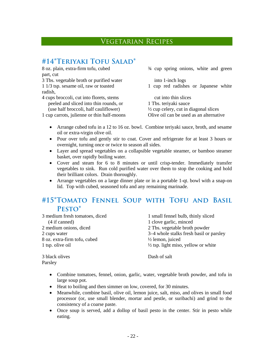#### Vegetarian Recipes

### **#14\*Teriyaki Tofu Salad\***

part, cut 3 Tbs. vegetable broth or purified water into 1-inch logs radish,

4 cups broccoli, cut into florets, stems cut into thin slices peeled and sliced into thin rounds, or 1 Tbs. teriyaki sauce (use half broccoli, half cauliflower)  $\frac{1}{2}$  cup celery, cut in diagonal slices

8 oz. plain, extra-firm tofu, cubed <sup>3/4</sup> cup spring onions, white and green

1 1/3 tsp. sesame oil, raw or toasted 1 cup red radishes or Japanese white

1 cup carrots, julienne or thin half-moons Olive oil can be used as an alternative

- Arrange cubed tofu in a 12 to 16 oz. bowl. Combine teriyaki sauce, broth, and sesame oil or extra-virgin olive oil.
- Pour over tofu and gently stir to coat. Cover and refrigerate for at least 3 hours or overnight, turning once or twice to season all sides.
- Layer and spread vegetables on a collapsible vegetable steamer, or bamboo steamer basket, over rapidly boiling water.
- Cover and steam for 6 to 8 minutes or until crisp-tender. Immediately transfer vegetables to sink. Run cold purified water over them to stop the cooking and hold their brilliant colors. Drain thoroughly.
- Arrange vegetables on a large dinner plate or in a portable 1-qt. bowl with a snap-on lid. Top with cubed, seasoned tofu and any remaining marinade.

#### **#15\*Tomato Fennel Soup with Tofu and Basil Pesto\***

| 3 medium fresh tomatoes, diced | 1 small fennel bulb, thinly sliced             |
|--------------------------------|------------------------------------------------|
| (4 if canned)                  | 1 clove garlic, minced                         |
| 2 medium onions, diced         | 2 Tbs. vegetable broth powder                  |
| 2 cups water                   | 3–4 whole stalks fresh basil or parsley        |
| 8 oz. extra-firm tofu, cubed   | $\frac{1}{2}$ lemon, juiced                    |
| 1 tsp. olive oil               | $\frac{1}{2}$ tsp. light miso, yellow or white |
|                                |                                                |

3 black olives Dash of salt Parsley

- Combine tomatoes, fennel, onion, garlic, water, vegetable broth powder, and tofu in large soup pot.
- Heat to boiling and then simmer on low, covered, for 30 minutes.
- Meanwhile, combine basil, olive oil, lemon juice, salt, miso, and olives in small food processor (or, use small blender, mortar and pestle, or suribachi) and grind to the consistency of a coarse paste.
- Once soup is served, add a dollop of basil pesto in the center. Stir in pesto while eating.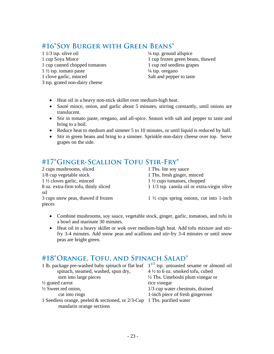### **#16\*Soy Burger with Green Beans\***

 $1/3$  tsp. olive oil  $\frac{1}{4}$  tsp. ground allspice 1 cup canned chopped tomatoes 1 cup red seedless grapes  $1\frac{1}{2}$  tsp. tomato paste  $\frac{1}{4}$  tsp. oregano

3 tsp. grated non-dairy cheese

1 cup Soya Mince 1 cup frozen green beans, thawed 1 clove garlic, minced Salt and pepper to taste

- Heat oil in a heavy non-stick skillet over medium-high heat.
- Sauté mince, onion, and garlic about 5 minutes, stirring constantly, until onions are translucent.
- Stir in tomato paste, oregano, and all-spice. Season with salt and pepper to taste and bring to a boil.
- Reduce heat to medium and simmer 5 to 10 minutes, or until liquid is reduced by half.
- Stir in green beans and bring to a simmer. Sprinkle non-dairy cheese over top. Serve grapes on the side.

### **#17\*Ginger-Scallion Tofu Stir-Fry\***

2 cups mushrooms, sliced 1 Tbs. lite soy sauce 1/8 cup vegetable stock 1 Tbs. fresh ginger, minced 1 ½ cloves garlic, minced 1 ½ cups tomatoes, chopped oil pieces

- 
- 
- 8 oz. extra-firm tofu, thinly sliced 1 1/3 tsp. canola oil or extra-virgin olive
- 3 cups snow peas, thawed if frozen  $1 \frac{1}{2}$  cups spring onions, cut into 1-inch
	- Combine mushrooms, soy sauce, vegetable stock, ginger, garlic, tomatoes, and tofu in a bowl and marinate 30 minutes.
	- Heat oil in a heavy skillet or wok over medium-high heat. Add tofu mixture and stirfry 3-4 minutes. Add snow peas and scallions and stir-fry 3-4 minutes or until snow peas are bright green.

### **#18\*Orange, Tofu, and Spinach Salad\***

| 1 lb. package pre-washed baby spinach or flat leaf $1^{1/3}$ tsp. untoasted sesame or almond oil      |                                             |
|-------------------------------------------------------------------------------------------------------|---------------------------------------------|
| spinach, steamed, washed, spun dry,                                                                   | $4\frac{1}{2}$ to 6 oz. smoked tofu, cubed  |
| torn into large pieces                                                                                | $\frac{1}{2}$ Tbs. Umeboshi plum vinegar or |
| $\frac{1}{2}$ grated carrot                                                                           | rice vinegar                                |
| $\frac{1}{2}$ Sweet red onion,                                                                        | 1/3 cup water chestnuts, drained            |
| cut into rings                                                                                        | 1-inch piece of fresh gingerroot            |
| 1 Seedless orange, peeled $&$ sectioned, or 2/3-Cup 1 Tbs. purified water<br>mandarin orange sections |                                             |